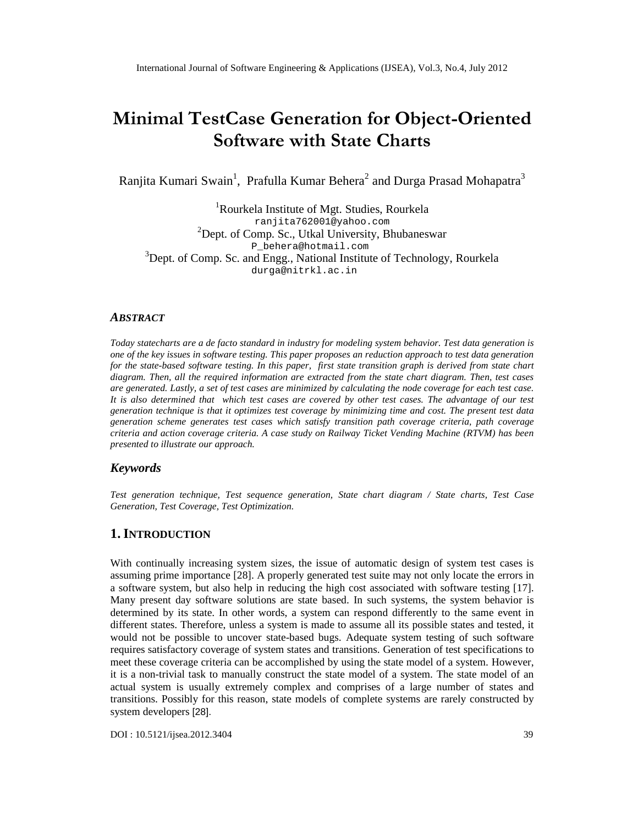# Minimal TestCase Genera Oringenftoend Ot Software with State Charts

RanjitaKumari Swain<sup>1</sup>, Prafulla Kumar Beherand Durga Prasad Mapatra

<sup>1</sup>Rourkela Institute of Mgt. Studies, Rourkela [ranjita762001@yah](mailto:ranjita762001@yahoo.com) oo.com  $2$ Dept. of Comp. Sc., Utkal University, Bhubaneswar [P\\_behera@hotmail.com](mailto:P_behera@hotmail.com) <sup>3</sup>Dept. of Comp. Sc. and Engg., National Institute of Technology, Rourkela [durga@nitrkl.ac.in](mailto:durga@nitrkl.ac)

## ABSTRACT

Today statecharts are a de facto standard in industry for modeling system behavior. Test data generation is one of the key issues in software testing. This paper proposes an reduction approach to test data generation for the statebased software testin In this paper, first state transition graph is derived tom state chart diagram. Then, all the required information are extracted from the state chart diagram. Then, test cases are generated. Lastly, a set of test cases are minimized by calculating de coverage for each test case. It is also determined that which test cases are covered by other test cases. The advantage of our test generation technique is that it optimizes test coverage by minimizing time and cost. The present test data generationscheme generates test cases which satisfy transition path coveritegie, path coverage criteria and action coverage criteria. A case study on Railway Ticket Vending Machine (RTVM) has been presented to illustrate our approach.

## Keywords

Test generatin technique, Test sequence generation that diagram State charts, Test Case Generation,Test Coverage, Test Optimization .

## 1.I NTRODUCTION

With continually increasing system sizes, the issua utomatic design of system test cases is assuming prime importance [28]. A properly generated test suite may not **lonate** the errors in a software system, but also help in reducting high cost associated with software testing [17]. Many present day software solutions are state based. In such sythenssy, stem behavior is determined by its state. In other words system can respond differently to the same event in different states. Therefore, unless a system is made to assumepalsitible states and tested, it would not be possible to uncovetate-based bugs. Adequate system testing of such software requires satisfactory coverage of system states and transdieneration of test specifications to meet these coverage criterian be accomplished by using the state model of a syblew wever, it is a nontrivial task to manually construct the tate model of a system. The state model of an actual system isusually extremely complex and comprises of a large numbertables and transitions. Possibly for this reason, state modelsomplete systemare rarely constructed by system developer<sup>[28]</sup>.

DOI : 10.5121/ijsea.2012.3404 39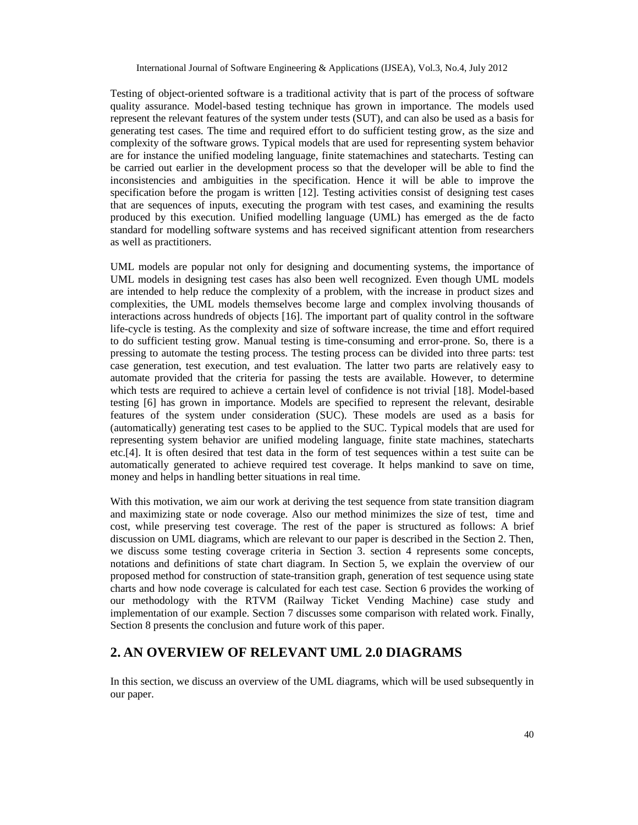Testing of object-oriented software is a traditional activity that is part of the process of software quality assurance. Model-based testing technique has grown in importance. The models used represent the relevant features of the system under tests (SUT), and can also be used as a basis for generating test cases. The time and required effort to do sufficient testing grow, as the size and complexity of the software grows. Typical models that are used for representing system behavior are for instance the unified modeling language, finite statemachines and statecharts. Testing can be carried out earlier in the development process so that the developer will be able to find the inconsistencies and ambiguities in the specification. Hence it will be able to improve the specification before the progam is written [12]. Testing activities consist of designing test cases that are sequences of inputs, executing the program with test cases, and examining the results produced by this execution. Unified modelling language (UML) has emerged as the de facto standard for modelling software systems and has received significant attention from researchers as well as practitioners.

UML models are popular not only for designing and documenting systems, the importance of UML models in designing test cases has also been well recognized. Even though UML models are intended to help reduce the complexity of a problem, with the increase in product sizes and complexities, the UML models themselves become large and complex involving thousands of interactions across hundreds of objects [16]. The important part of quality control in the software life-cycle is testing. As the complexity and size of software increase, the time and effort required to do sufficient testing grow. Manual testing is time-consuming and error-prone. So, there is a pressing to automate the testing process. The testing process can be divided into three parts: test case generation, test execution, and test evaluation. The latter two parts are relatively easy to automate provided that the criteria for passing the tests are available. However, to determine which tests are required to achieve a certain level of confidence is not trivial [18]. Model-based testing [6] has grown in importance. Models are specified to represent the relevant, desirable features of the system under consideration (SUC). These models are used as a basis for (automatically) generating test cases to be applied to the SUC. Typical models that are used for representing system behavior are unified modeling language, finite state machines, statecharts etc.[4]. It is often desired that test data in the form of test sequences within a test suite can be automatically generated to achieve required test coverage. It helps mankind to save on time, money and helps in handling better situations in real time.

With this motivation, we aim our work at deriving the test sequence from state transition diagram and maximizing state or node coverage. Also our method minimizes the size of test, time and cost, while preserving test coverage. The rest of the paper is structured as follows: A brief discussion on UML diagrams, which are relevant to our paper is described in the Section 2. Then, we discuss some testing coverage criteria in Section 3. section 4 represents some concepts, notations and definitions of state chart diagram. In Section 5, we explain the overview of our proposed method for construction of state-transition graph, generation of test sequence using state charts and how node coverage is calculated for each test case. Section 6 provides the working of our methodology with the RTVM (Railway Ticket Vending Machine) case study and implementation of our example. Section 7 discusses some comparison with related work. Finally, Section 8 presents the conclusion and future work of this paper.

# **2. AN OVERVIEW OF RELEVANT UML 2.0 DIAGRAMS**

In this section, we discuss an overview of the UML diagrams, which will be used subsequently in our paper.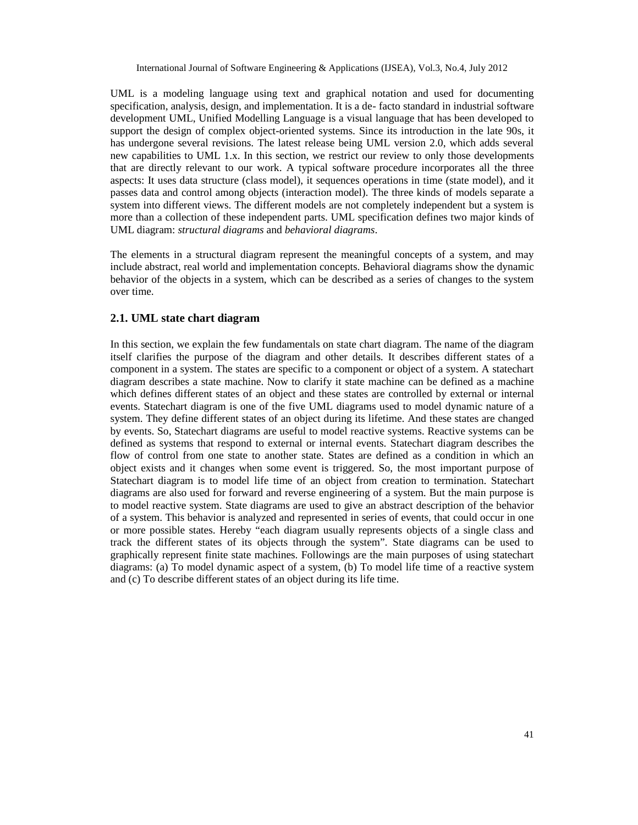UML is a modeling language using text and graphical notation and used for documenting specification, analysis, design, and implementation. It is a de- facto standard in industrial software development UML, Unified Modelling Language is a visual language that has been developed to support the design of complex object-oriented systems. Since its introduction in the late 90s, it has undergone several revisions. The latest release being UML version 2.0, which adds several new capabilities to UML 1.x. In this section, we restrict our review to only those developments that are directly relevant to our work. A typical software procedure incorporates all the three aspects: It uses data structure (class model), it sequences operations in time (state model), and it passes data and control among objects (interaction model). The three kinds of models separate a system into different views. The different models are not completely independent but a system is more than a collection of these independent parts. UML specification defines two major kinds of UML diagram: *structural diagrams* and *behavioral diagrams*.

The elements in a structural diagram represent the meaningful concepts of a system, and may include abstract, real world and implementation concepts. Behavioral diagrams show the dynamic behavior of the objects in a system, which can be described as a series of changes to the system over time.

#### **2.1. UML state chart diagram**

In this section, we explain the few fundamentals on state chart diagram. The name of the diagram itself clarifies the purpose of the diagram and other details. It describes different states of a component in a system. The states are specific to a component or object of a system. A statechart diagram describes a state machine. Now to clarify it state machine can be defined as a machine which defines different states of an object and these states are controlled by external or internal events. Statechart diagram is one of the five UML diagrams used to model dynamic nature of a system. They define different states of an object during its lifetime. And these states are changed by events. So, Statechart diagrams are useful to model reactive systems. Reactive systems can be defined as systems that respond to external or internal events. Statechart diagram describes the flow of control from one state to another state. States are defined as a condition in which an object exists and it changes when some event is triggered. So, the most important purpose of Statechart diagram is to model life time of an object from creation to termination. Statechart diagrams are also used for forward and reverse engineering of a system. But the main purpose is to model reactive system. State diagrams are used to give an abstract description of the behavior of a system. This behavior is analyzed and represented in series of events, that could occur in one or more possible states. Hereby "each diagram usually represents objects of a single class and track the different states of its objects through the system". State diagrams can be used to graphically represent finite state machines. Followings are the main purposes of using statechart diagrams: (a) To model dynamic aspect of a system, (b) To model life time of a reactive system and (c) To describe different states of an object during its life time.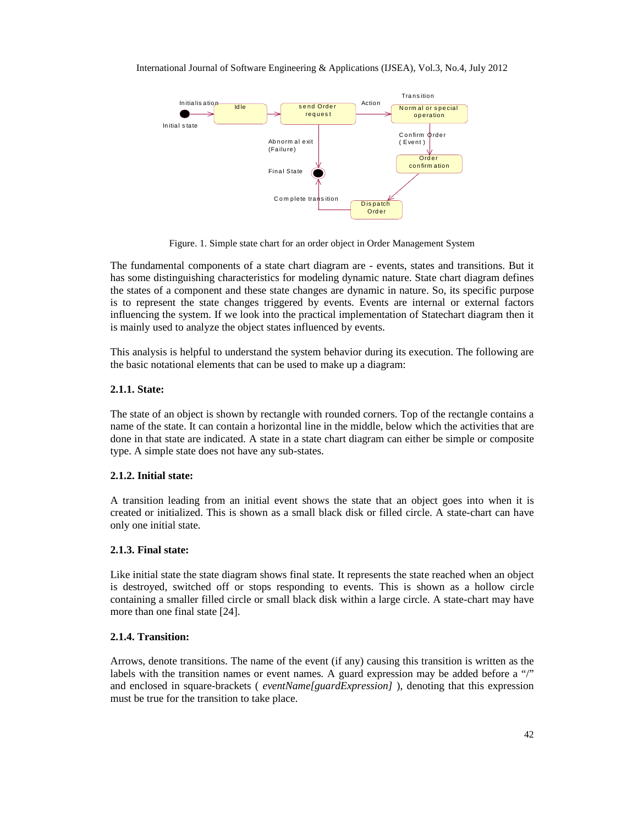

Figure. 1. Simple state chart for an order object in Order Management System

The fundamental components of a state chart diagram are - events, states and transitions. But it has some distinguishing characteristics for modeling dynamic nature. State chart diagram defines the states of a component and these state changes are dynamic in nature. So, its specific purpose is to represent the state changes triggered by events. Events are internal or external factors influencing the system. If we look into the practical implementation of Statechart diagram then it is mainly used to analyze the object states influenced by events.

This analysis is helpful to understand the system behavior during its execution. The following are the basic notational elements that can be used to make up a diagram:

#### **2.1.1. State:**

The state of an object is shown by rectangle with rounded corners. Top of the rectangle contains a name of the state. It can contain a horizontal line in the middle, below which the activities that are done in that state are indicated. A state in a state chart diagram can either be simple or composite type. A simple state does not have any sub-states.

#### **2.1.2. Initial state:**

A transition leading from an initial event shows the state that an object goes into when it is created or initialized. This is shown as a small black disk or filled circle. A state-chart can have only one initial state.

#### **2.1.3. Final state:**

Like initial state the state diagram shows final state. It represents the state reached when an object is destroyed, switched off or stops responding to events. This is shown as a hollow circle containing a smaller filled circle or small black disk within a large circle. A state-chart may have more than one final state [24].

#### **2.1.4. Transition:**

Arrows, denote transitions. The name of the event (if any) causing this transition is written as the labels with the transition names or event names. A guard expression may be added before a "/" and enclosed in square-brackets ( *eventName[guardExpression]* ), denoting that this expression must be true for the transition to take place.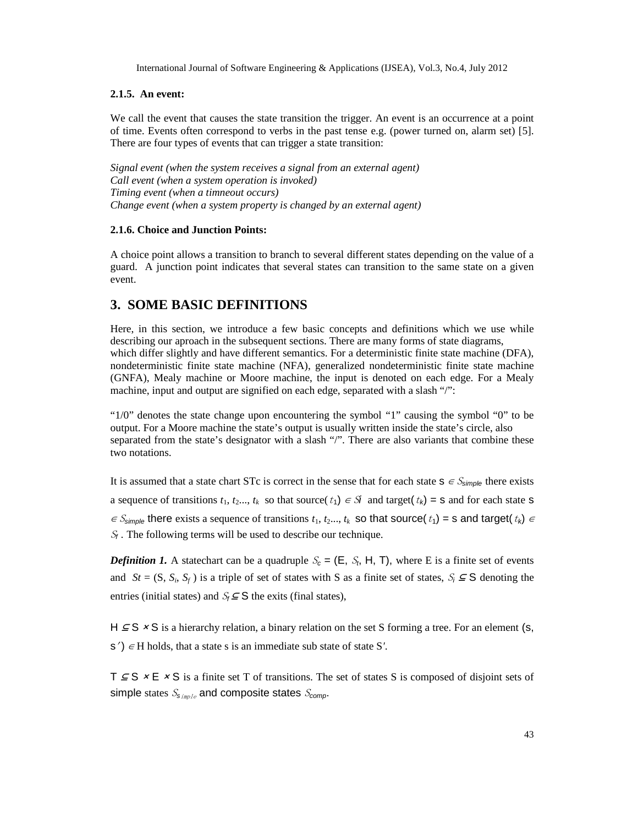#### **2.1.5. An event:**

We call the event that causes the state transition the trigger. An event is an occurrence at a point of time. Events often correspond to verbs in the past tense e.g. (power turned on, alarm set) [5]. There are four types of events that can trigger a state transition:

*Signal event (when the system receives a signal from an external agent) Call event (when a system operation is invoked) Timing event (when a timneout occurs) Change event (when a system property is changed by an external agent)*

#### **2.1.6. Choice and Junction Points:**

A choice point allows a transition to branch to several different states depending on the value of a guard. A junction point indicates that several states can transition to the same state on a given event.

## **3. SOME BASIC DEFINITIONS**

Here, in this section, we introduce a few basic concepts and definitions which we use while describing our aproach in the subsequent sections. There are many forms of state diagrams, which differ slightly and have different semantics. For a deterministic finite state machine (DFA), nondeterministic finite state machine (NFA), generalized nondeterministic finite state machine (GNFA), Mealy machine or Moore machine, the input is denoted on each edge. For a Mealy machine, input and output are signified on each edge, separated with a slash "/":

"1/0" denotes the state change upon encountering the symbol "1" causing the symbol "0" to be output. For a Moore machine the state's output is usually written inside the state's circle, also separated from the state's designator with a slash "/". There are also variants that combine these two notations.

It is assumed that a state chart STc is correct in the sense that for each state  $s \in S_{simple}$  there exists a sequence of transitions  $t_1, t_2, \ldots, t_k$  so that source( $t_1$ )  $\in$  *Si* and target( $t_k$ ) = **s** and for each state **s**  $\epsilon$  S<sub>simple</sub> there exists a sequence of transitions  $t_1, t_2, ..., t_k$  so that source( $t_1$ ) = s and target( $t_k$ )  $\epsilon$  $S_f$ . The following terms will be used to describe our technique.

*Definition 1*. A statechart can be a quadruple  $S_c = (E, S_t, H, T)$ , where E is a finite set of events and  $St = (S, S_i, S_f)$  is a triple of set of states with S as a finite set of states,  $S_i \subseteq S$  denoting the entries (initial states) and  $S_f \subseteq S$  the exits (final states),

 $H \subseteq S \times S$  is a hierarchy relation, a binary relation on the set S forming a tree. For an element (s,  $s'$   $\in$  H holds, that a state s is an immediate sub state of state S.

 $T \subseteq S \times E \times S$  is a finite set T of transitions. The set of states S is composed of disjoint sets of simple states <sup>S</sup>*s*imple and composite states <sup>S</sup>*comp*.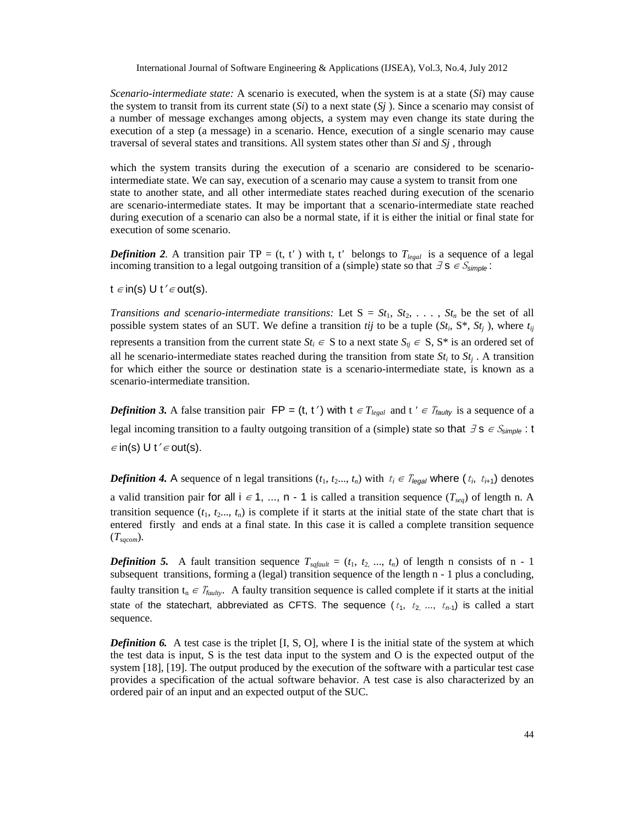*Scenario-intermediate state:* A scenario is executed, when the system is at a state (*Si*) may cause the system to transit from its current state  $(S_i)$  to a next state  $(S_j)$ . Since a scenario may consist of a number of message exchanges among objects, a system may even change its state during the execution of a step (a message) in a scenario. Hence, execution of a single scenario may cause traversal of several states and transitions. All system states other than *Si* and *Sj* , through

which the system transits during the execution of a scenario are considered to be scenariointermediate state. We can say, execution of a scenario may cause a system to transit from one state to another state, and all other intermediate states reached during execution of the scenario are scenario-intermediate states. It may be important that a scenario-intermediate state reached during execution of a scenario can also be a normal state, if it is either the initial or final state for execution of some scenario.

*Definition 2.* A transition pair TP = (t, t) with t, t belongs to  $T_{\text{legal}}$  is a sequence of a legal incoming transition to a legal outgoing transition of a (simple) state so that <sup>∃</sup> s <sup>∈</sup> <sup>S</sup>*simple* :

t  $\epsilon$  in(s) U t' $\epsilon$  out(s).

*Transitions and scenario-intermediate transitions:* Let  $S = St_1, St_2, \ldots, St_n$  be the set of all possible system states of an SUT. We define a transition *tij* to be a tuple  $(St_i, S^*, St_j)$ , where  $t_{ij}$ represents a transition from the current state  $St_i \in S$  to a next state  $S_{ij} \in S$ ,  $S^*$  is an ordered set of all he scenario-intermediate states reached during the transition from state  $St_i$  to  $St_j$ . A transition for which either the source or destination state is a scenario-intermediate state, is known as a scenario-intermediate transition.

*Definition 3.* A false transition pair  $FP = (t, t')$  with  $t \in T_{\text{legal}}$  and  $t \in T_{\text{faulty}}$  is a sequence of a legal incoming transition to a faulty outgoing transition of a (simple) state so that <sup>∃</sup> s <sup>∈</sup> <sup>S</sup>*simple* : t  $\in$  in(s) U t´ $\in$  out(s).

*Definition 4.* A sequence of n legal transitions  $(t_1, t_2, \ldots, t_n)$  with  $t_i \in T_{\text{legal}}$  where  $(t_i, t_{i+1})$  denotes

a valid transition pair for all  $i \in 1, ..., n - 1$  is called a transition sequence  $(T_{seq})$  of length n. A transition sequence  $(t_1, t_2, \ldots, t_n)$  is complete if it starts at the initial state of the state chart that is entered firstly and ends at a final state. In this case it is called a complete transition sequence (*Tsqcom*).

*Definition* 5. A fault transition sequence  $T_{\text{sqrt}} = (t_1, t_2, ..., t_n)$  of length n consists of n - 1 subsequent transitions, forming a (legal) transition sequence of the length n - 1 plus a concluding, faulty transition t<sub>n</sub> ∈  $T_{\text{faulty}}$ . A faulty transition sequence is called complete if it starts at the initial state of the statechart, abbreviated as CFTS. The sequence  $(t_1, t_2, ..., t_{n-1})$  is called a start sequence.

*Definition 6.* A test case is the triplet [I, S, O], where I is the initial state of the system at which the test data is input, S is the test data input to the system and O is the expected output of the system [18], [19]. The output produced by the execution of the software with a particular test case provides a specification of the actual software behavior. A test case is also characterized by an ordered pair of an input and an expected output of the SUC.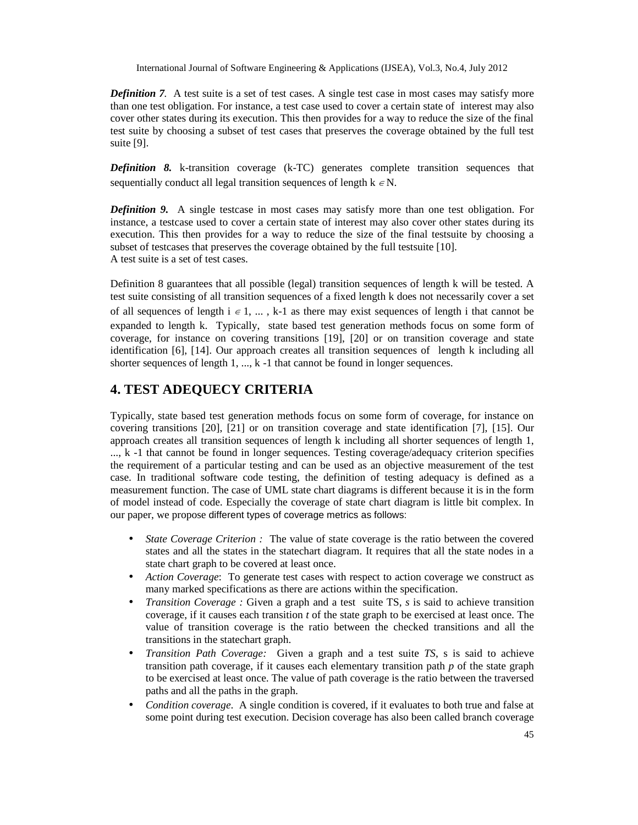*Definition 7*. A test suite is a set of test cases. A single test case in most cases may satisfy more than one test obligation. For instance, a test case used to cover a certain state of interest may also cover other states during its execution. This then provides for a way to reduce the size of the final test suite by choosing a subset of test cases that preserves the coverage obtained by the full test suite [9].

*Definition 8.* k-transition coverage (k-TC) generates complete transition sequences that sequentially conduct all legal transition sequences of length  $k \in N$ .

*Definition 9.* A single testcase in most cases may satisfy more than one test obligation. For instance, a testcase used to cover a certain state of interest may also cover other states during its execution. This then provides for a way to reduce the size of the final testsuite by choosing a subset of testcases that preserves the coverage obtained by the full testsuite [10]. A test suite is a set of test cases.

Definition 8 guarantees that all possible (legal) transition sequences of length k will be tested. A test suite consisting of all transition sequences of a fixed length k does not necessarily cover a set of all sequences of length i  $\epsilon$  1, ..., k-1 as there may exist sequences of length i that cannot be expanded to length k. Typically, state based test generation methods focus on some form of coverage, for instance on covering transitions [19], [20] or on transition coverage and state identification [6], [14]. Our approach creates all transition sequences of length k including all shorter sequences of length 1, ..., k -1 that cannot be found in longer sequences.

# **4. TEST ADEQUECY CRITERIA**

Typically, state based test generation methods focus on some form of coverage, for instance on covering transitions [20], [21] or on transition coverage and state identification [7], [15]. Our approach creates all transition sequences of length k including all shorter sequences of length 1, ..., k -1 that cannot be found in longer sequences. Testing coverage/adequacy criterion specifies the requirement of a particular testing and can be used as an objective measurement of the test case. In traditional software code testing, the definition of testing adequacy is defined as a measurement function. The case of UML state chart diagrams is different because it is in the form of model instead of code. Especially the coverage of state chart diagram is little bit complex. In our paper, we propose different types of coverage metrics as follows:

- *State Coverage Criterion :* The value of state coverage is the ratio between the covered states and all the states in the statechart diagram. It requires that all the state nodes in a state chart graph to be covered at least once.
- *Action Coverage*: To generate test cases with respect to action coverage we construct as many marked specifications as there are actions within the specification.
- *Transition Coverage :* Given a graph and a test suite TS, *s* is said to achieve transition coverage, if it causes each transition *t* of the state graph to be exercised at least once. The value of transition coverage is the ratio between the checked transitions and all the transitions in the statechart graph.
- *Transition Path Coverage:* Given a graph and a test suite *TS*, s is said to achieve transition path coverage, if it causes each elementary transition path *p* of the state graph to be exercised at least once. The value of path coverage is the ratio between the traversed paths and all the paths in the graph.
- *Condition coverage*. A single condition is covered, if it evaluates to both true and false at some point during test execution. Decision coverage has also been called branch coverage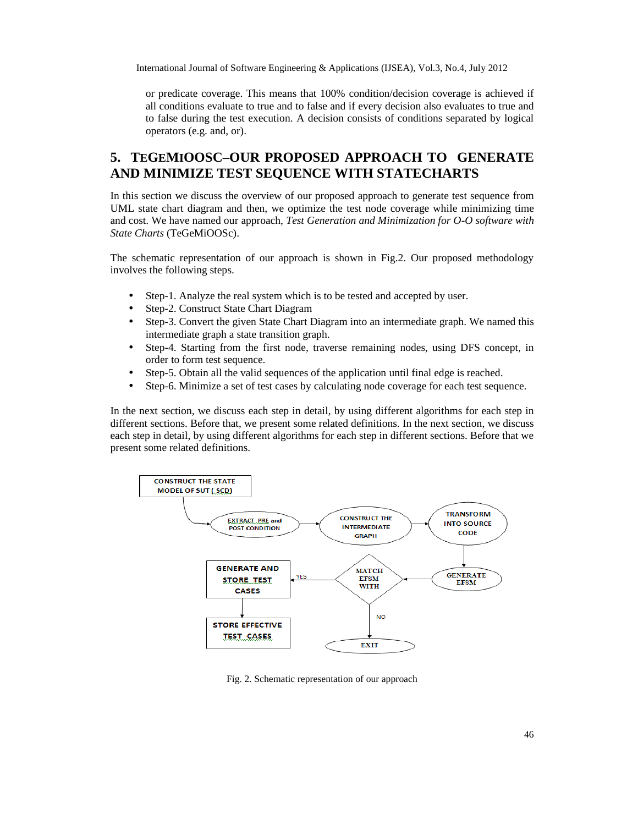or predicate coverage. This means that 100% condition/decision coverage is achieved if all conditions evaluate to true and to false and if every decision also evaluates to true and to false during the test execution. A decision consists of conditions separated by logical operators (e.g. and, or).

# **5. TEGEMIOOSC–OUR PROPOSED APPROACH TO GENERATE AND MINIMIZE TEST SEQUENCE WITH STATECHARTS**

In this section we discuss the overview of our proposed approach to generate test sequence from UML state chart diagram and then, we optimize the test node coverage while minimizing time and cost. We have named our approach, *Test Generation and Minimization for O-O software with State Charts* (TeGeMiOOSc).

The schematic representation of our approach is shown in Fig.2. Our proposed methodology involves the following steps.

- Step-1. Analyze the real system which is to be tested and accepted by user.
- Step-2. Construct State Chart Diagram
- Step-3. Convert the given State Chart Diagram into an intermediate graph. We named this intermediate graph a state transition graph.
- Step-4. Starting from the first node, traverse remaining nodes, using DFS concept, in order to form test sequence.
- Step-5. Obtain all the valid sequences of the application until final edge is reached.
- Step-6. Minimize a set of test cases by calculating node coverage for each test sequence.

In the next section, we discuss each step in detail, by using different algorithms for each step in different sections. Before that, we present some related definitions. In the next section, we discuss each step in detail, by using different algorithms for each step in different sections. Before that we present some related definitions.



Fig. 2. Schematic representation of our approach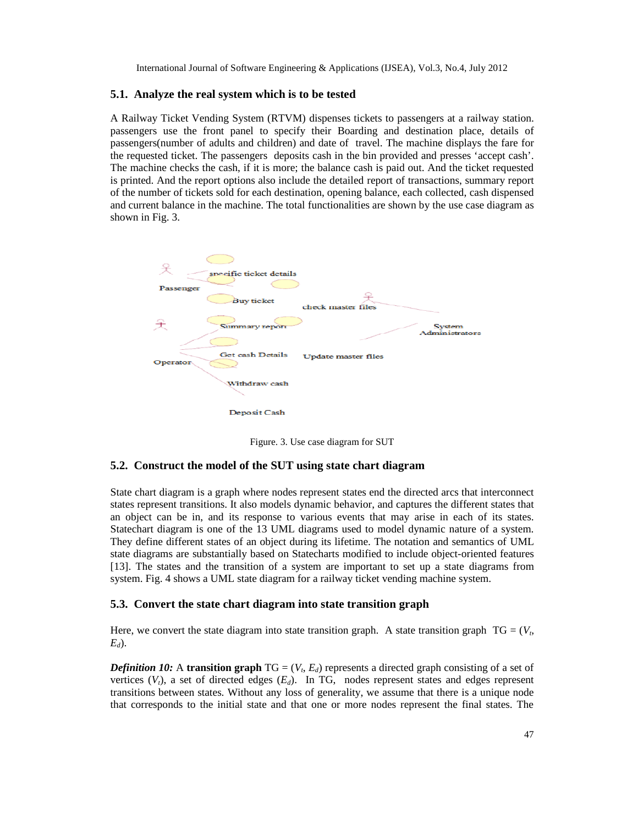#### **5.1. Analyze the real system which is to be tested**

A Railway Ticket Vending System (RTVM) dispenses tickets to passengers at a railway station. passengers use the front panel to specify their Boarding and destination place, details of passengers(number of adults and children) and date of travel. The machine displays the fare for the requested ticket. The passengers deposits cash in the bin provided and presses 'accept cash'. The machine checks the cash, if it is more; the balance cash is paid out. And the ticket requested is printed. And the report options also include the detailed report of transactions, summary report of the number of tickets sold for each destination, opening balance, each collected, cash dispensed and current balance in the machine. The total functionalities are shown by the use case diagram as shown in Fig. 3.



Figure. 3. Use case diagram for SUT

#### **5.2. Construct the model of the SUT using state chart diagram**

State chart diagram is a graph where nodes represent states end the directed arcs that interconnect states represent transitions. It also models dynamic behavior, and captures the different states that an object can be in, and its response to various events that may arise in each of its states. Statechart diagram is one of the 13 UML diagrams used to model dynamic nature of a system. They define different states of an object during its lifetime. The notation and semantics of UML state diagrams are substantially based on Statecharts modified to include object-oriented features [13]. The states and the transition of a system are important to set up a state diagrams from system. Fig. 4 shows a UML state diagram for a railway ticket vending machine system.

#### **5.3. Convert the state chart diagram into state transition graph**

Here, we convert the state diagram into state transition graph. A state transition graph  $TG = (V_t,$ *Ed*).

*Definition 10:* A transition graph  $TG = (V_t, E_d)$  represents a directed graph consisting of a set of vertices  $(V_t)$ , a set of directed edges  $(E_d)$ . In TG, nodes represent states and edges represent transitions between states. Without any loss of generality, we assume that there is a unique node that corresponds to the initial state and that one or more nodes represent the final states. The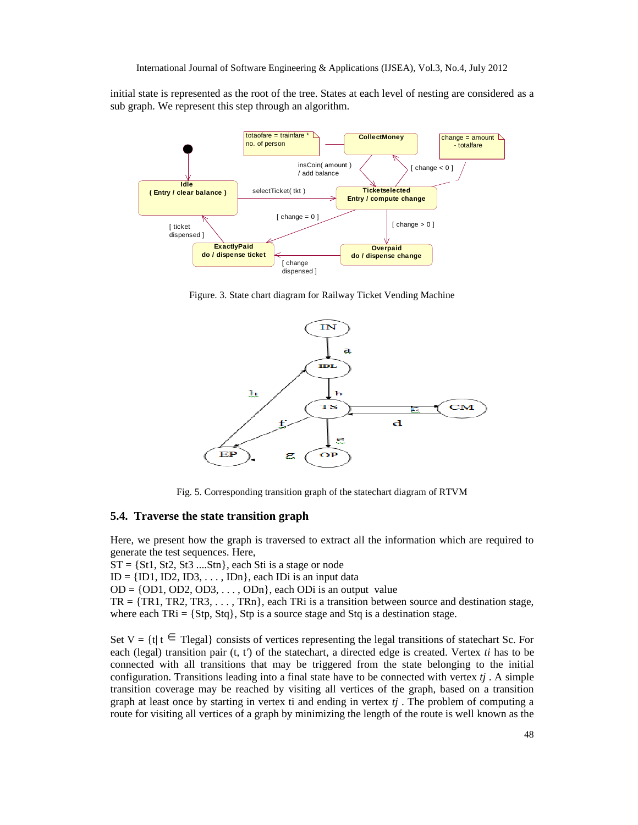initial state is represented as the root of the tree. States at each level of nesting are considered as a sub graph. We represent this step through an algorithm.



Figure. 3. State chart diagram for Railway Ticket Vending Machine



Fig. 5. Corresponding transition graph of the statechart diagram of RTVM

#### **5.4. Traverse the state transition graph**

Here, we present how the graph is traversed to extract all the information which are required to generate the test sequences. Here,

 $ST = \{St1, St2, St3 \dots Stn\}$ , each Sti is a stage or node

 $ID = \{ ID1, ID2, ID3, \ldots, IDn \}$ , each IDi is an input data

 $OD = \{OD1, OD2, OD3, \ldots, ODn\}$ , each ODi is an output value

 $TR = \{TR1, TR2, TR3, \ldots, TRn\}$ , each TRi is a transition between source and destination stage, where each  $TRi = \{Stp, Stq\}$ ,  $Stp$  is a source stage and  $Stq$  is a destination stage.

Set  $V = \{t | t \in \text{Tegal}\}\)$  consists of vertices representing the legal transitions of statechart Sc. For each (legal) transition pair  $(t, t)$  of the statechart, a directed edge is created. Vertex *ti* has to be connected with all transitions that may be triggered from the state belonging to the initial configuration. Transitions leading into a final state have to be connected with vertex  $t_i$ . A simple transition coverage may be reached by visiting all vertices of the graph, based on a transition graph at least once by starting in vertex ti and ending in vertex  $t_j$ . The problem of computing a route for visiting all vertices of a graph by minimizing the length of the route is well known as the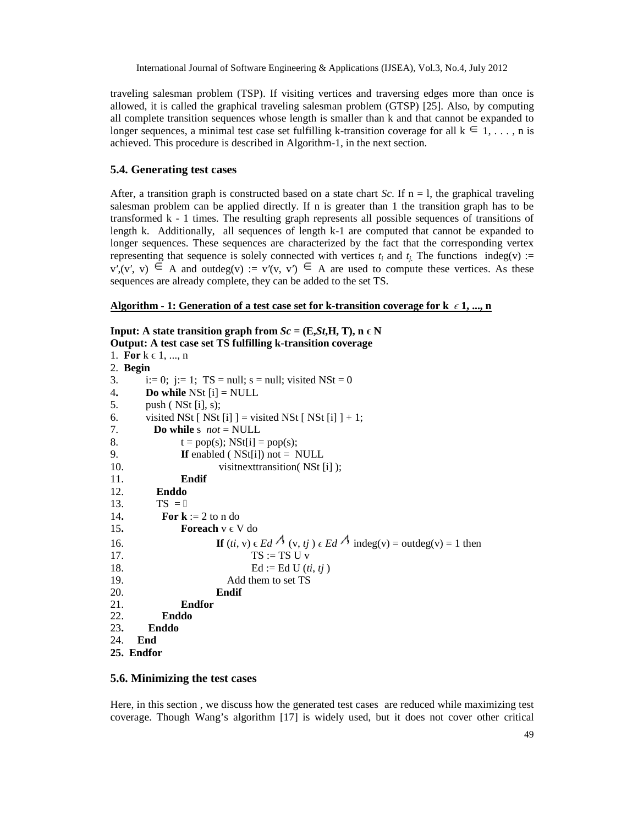traveling salesman problem (TSP). If visiting vertices and traversing edges more than once is allowed, it is called the graphical traveling salesman problem (GTSP) [25]. Also, by computing all complete transition sequences whose length is smaller than k and that cannot be expanded to longer sequences, a minimal test case set fulfilling k-transition coverage for all  $k \in 1, \ldots$ , n is achieved. This procedure is described in Algorithm-1, in the next section.

#### **5.4. Generating test cases**

After, a transition graph is constructed based on a state chart *Sc*. If  $n = 1$ , the graphical traveling salesman problem can be applied directly. If n is greater than 1 the transition graph has to be transformed k - 1 times. The resulting graph represents all possible sequences of transitions of length k. Additionally, all sequences of length k-1 are computed that cannot be expanded to longer sequences. These sequences are characterized by the fact that the corresponding vertex representing that sequence is solely connected with vertices  $t_i$  and  $t_i$ . The functions indeg(v) :=  $v, (v, v) \in A$  and outdeg(v) :=  $v(v, v) \in A$  are used to compute these vertices. As these sequences are already complete, they can be added to the set TS.

#### **Algorithm - 1: Generation of a test case set for k-transition coverage for k** *ϵ* **1, ..., n**

```
Input: A state transition graph from Sc = (E, St, H, T), n \in NOutput: A test case set TS fulfilling k-transition coverage
```

```
1. For k \in 1, ..., n2. Begin
3. i:= 0; j:= 1; TS = null; s = null; visited NSt = 04. Do while NSt [i] = NULL
5. push ( NSt [i], s);
6. visited NSt [ NSt [i] ] = visited NSt [ NSt [i] ] + 1;
7. Do while s not = NULL
8. t = pop(s); NSt[i] = pop(s);
9. If enabled ( NSt[i]) not = NULL
10. visitnexttransition( NSt [i] );
11. Endif
12. Enddo
13. TS =14. For \mathbf{k} := 2 to n do
15. Foreach v \in V do
16. If (ti, v) \in Ed \neq \{v, tj\} \in Ed \neq \{1\} indeg(v) = outdeg(v) = 1 then
17. TS := TS U v18. \text{Ed} := \text{Ed U}(t\mathbf{i}, t\mathbf{j})19. Add them to set TS
20. Endif
            21. Endfor
22. Enddo
23. Enddo
24. End
25. Endfor
```
#### **5.6. Minimizing the test cases**

Here, in this section , we discuss how the generated test cases are reduced while maximizing test coverage. Though Wang's algorithm [17] is widely used, but it does not cover other critical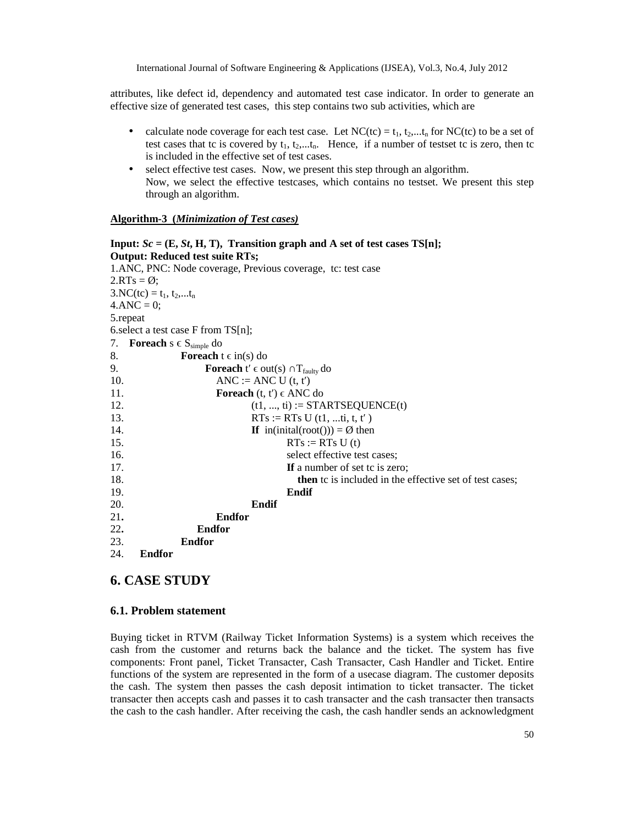attributes, like defect id, dependency and automated test case indicator. In order to generate an effective size of generated test cases, this step contains two sub activities, which are

- calculate node coverage for each test case. Let  $NC(tc) = t_1, t_2,...t_n$  for  $NC(tc)$  to be a set of test cases that tc is covered by  $t_1, t_2, \ldots, t_n$ . Hence, if a number of testset tc is zero, then tc is included in the effective set of test cases.
- select effective test cases. Now, we present this step through an algorithm. Now, we select the effective testcases, which contains no testset. We present this step through an algorithm.

#### **Algorithm-3 (***Minimization of Test cases)*

| Input: $Sc = (E, St, H, T)$ , Transition graph and A set of test cases TS[n]; |
|-------------------------------------------------------------------------------|
| <b>Output: Reduced test suite RTs;</b>                                        |
| 1.ANC, PNC: Node coverage, Previous coverage, tc: test case                   |
| $2.RTs = \emptyset$ ;                                                         |
| $3. NC(tc) = t_1, t_2,t_n$                                                    |
| $4. \text{ANC} = 0;$                                                          |
| 5.repeat                                                                      |
| 6. select a test case $F$ from $TS[n]$ ;                                      |
| <b>Foreach</b> $s \in S_{simple}$ do<br>7.                                    |
| 8.<br><b>Foreach</b> $t \in in(s)$ do                                         |
| 9.<br><b>Foreach</b> $t \in out(s)$ $T_{\text{faulty}}$ do                    |
| 10.<br>$ANC := ANC U(t, t)$                                                   |
| 11.<br><b>Foreach</b> $(t, t) \in ANC$ do                                     |
| 12.<br>$(t1, , ti) := \text{STARTSEQUENCE}(t)$                                |
| 13.<br>$RTs := RTs U (t1, t, t, t)$                                           |
| 14.<br>If in(initial(root())) = $\emptyset$ then                              |
| 15.<br>$RTs := RTs U(t)$                                                      |
| 16.<br>select effective test cases;                                           |
| 17.<br>If a number of set to is zero;                                         |
| 18.<br>then to is included in the effective set of test cases;                |
| 19.<br>Endif                                                                  |
| 20.<br>Endif                                                                  |
| 21.<br><b>Endfor</b>                                                          |
| 22.<br><b>Endfor</b>                                                          |
| 23.<br><b>Endfor</b>                                                          |
| 24.<br><b>Endfor</b>                                                          |

## **6. CASE STUDY**

#### **6.1. Problem statement**

Buying ticket in RTVM (Railway Ticket Information Systems) is a system which receives the cash from the customer and returns back the balance and the ticket. The system has five components: Front panel, Ticket Transacter, Cash Transacter, Cash Handler and Ticket. Entire functions of the system are represented in the form of a usecase diagram. The customer deposits the cash. The system then passes the cash deposit intimation to ticket transacter. The ticket transacter then accepts cash and passes it to cash transacter and the cash transacter then transacts the cash to the cash handler. After receiving the cash, the cash handler sends an acknowledgment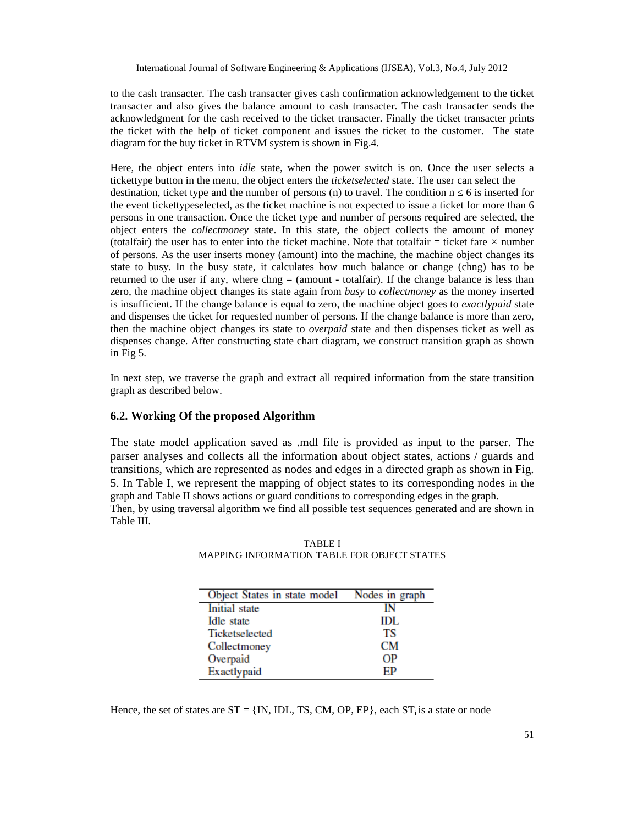to the cash transacter. The cash transacter gives cash confirmation acknowledgement to the ticket transacter and also gives the balance amount to cash transacter. The cash transacter sends the acknowledgment for the cash received to the ticket transacter. Finally the ticket transacter prints the ticket with the help of ticket component and issues the ticket to the customer. The state diagram for the buy ticket in RTVM system is shown in Fig.4.

Here, the object enters into *idle* state, when the power switch is on. Once the user selects a tickettype button in the menu, the object enters the *ticketselected* state. The user can select the destination, ticket type and the number of persons  $(n)$  to travel. The condition  $n \times 6$  is inserted for the event tickettypeselected, as the ticket machine is not expected to issue a ticket for more than 6 persons in one transaction. Once the ticket type and number of persons required are selected, the object enters the *collectmoney* state. In this state, the object collects the amount of money (totalfair) the user has to enter into the ticket machine. Note that totalfair  $=$  ticket fare  $\times$  number of persons. As the user inserts money (amount) into the machine, the machine object changes its state to busy. In the busy state, it calculates how much balance or change (chng) has to be returned to the user if any, where chng = (amount - totalfair). If the change balance is less than zero, the machine object changes its state again from *busy* to *collectmoney* as the money inserted is insufficient. If the change balance is equal to zero, the machine object goes to *exactlypaid* state and dispenses the ticket for requested number of persons. If the change balance is more than zero, then the machine object changes its state to *overpaid* state and then dispenses ticket as well as dispenses change. After constructing state chart diagram, we construct transition graph as shown in Fig 5.

In next step, we traverse the graph and extract all required information from the state transition graph as described below.

#### **6.2. Working Of the proposed Algorithm**

The state model application saved as .mdl file is provided as input to the parser. The parser analyses and collects all the information about object states, actions / guards and transitions, which are represented as nodes and edges in a directed graph as shown in Fig. 5. In Table I, we represent the mapping of object states to its corresponding nodes in the graph and Table II shows actions or guard conditions to corresponding edges in the graph. Then, by using traversal algorithm we find all possible test sequences generated and are shown in Table III.

| Object States in state model Nodes in graph |      |
|---------------------------------------------|------|
| Initial state                               | īΝ   |
| Idle state                                  | IDL. |
| Ticketselected                              | ТS   |
| Collectmoney                                | CМ   |
| Overpaid                                    | OΡ   |
| Exactlypaid                                 | FР   |

TABLE I MAPPING INFORMATION TABLE FOR OBJECT STATES

Hence, the set of states are  $ST = \{IN, IDL, TS, CM, OP, EP\}$ , each  $ST_i$  is a state or node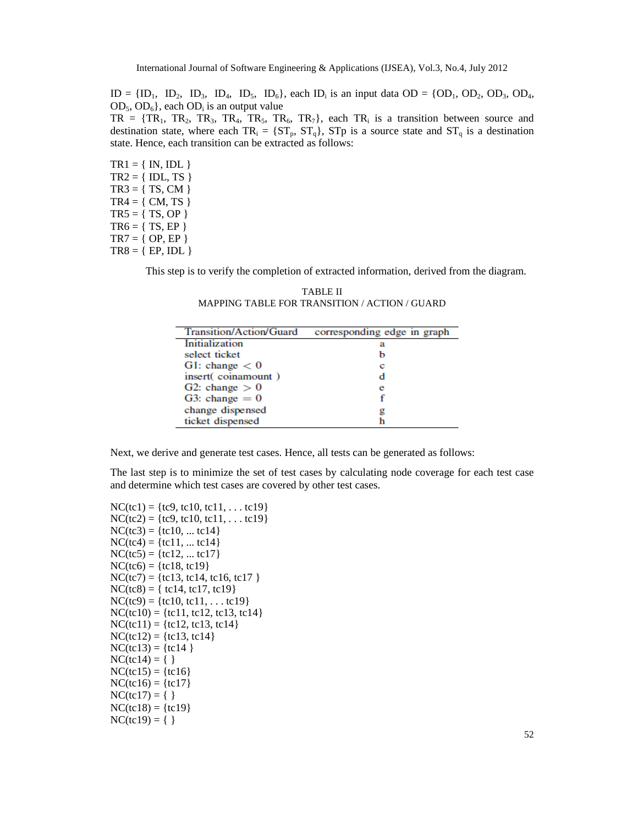$ID = \{ ID_1, ID_2, ID_3, ID_4, ID_5, ID_6 \}$ , each  $ID_i$  is an input data  $OD = \{ OD_1, OD_2, OD_3, OD_4,$  $OD_5, OD_6$ , each  $OD_i$  is an output value

 $TR = \{TR_1, TR_2, TR_3, TR_4, TR_5, TR_6, TR_7\}$ , each  $TR_i$  is a transition between source and destination state, where each  $TR_i = \{ST_p, ST_q\}$ ,  $STp$  is a source state and  $ST_q$  is a destination state. Hence, each transition can be extracted as follows:

 $TR1 = \{ IN, IDL \}$  $TR2 = \{ IDL, TS \}$  $TR3 = \{ TS, CM \}$  $TR4 = \{ CM, TS \}$  $TR5 = \{ TS, OP \}$  $TR6 = \{ TS, EP \}$  $TR7 = \{ OP, EP \}$  $TR8 = { EP, IDL }$ 

This step is to verify the completion of extracted information, derived from the diagram.

TABLE II MAPPING TABLE FOR TRANSITION / ACTION / GUARD

| Transition/Action/Guard | corresponding edge in graph |
|-------------------------|-----------------------------|
| Initialization          | а                           |
| select ticket           |                             |
| G1: change $< 0$        |                             |
| insert(coinamount)      |                             |
| G2: change $> 0$        | е                           |
| G3: change $= 0$        |                             |
| change dispensed        |                             |
| ticket dispensed        |                             |

Next, we derive and generate test cases. Hence, all tests can be generated as follows:

The last step is to minimize the set of test cases by calculating node coverage for each test case and determine which test cases are covered by other test cases.

 $NC(tc1) = {tc9, tc10, tc11, ... tc19}$  $NC(tc2) = \{tc9, tc10, tc11, \ldots tc19\}$  $NC(tc3) = \{tcl0, ... tcl4\}$  $NC(tc4) = \{tcl1, ... tcl4\}$  $NC(tc5) = {tcl2, ... tcl7}$  $NC(tc6) = {tcl8, tcl9}$  $NC(tc7) = {tcl3, tcl4, tcl6, tcl7}$  $NC(tc8) = \{ tc14, tc17, tc19 \}$  $NC(tc9) = \{tcl0, tcl1, \ldots tcl9\}$  $NC(tc10) = {tcl1, tcl2, tcl3, tcl4}$  $NC(tc11) = {tcl2, tcl3, tcl4}$  $NC(tc12) = {tc13, tc14}$  $NC(tc13) = {tc14}$  $NC(tc14) = \{\}$  $NC(tc15) = {tc16}$  $NC(tc16) = \{tc17\}$  $NC(tc17) = \{ \}$  $NC(tc18) = {tc19}$  $NC(tc19) = \{ \}$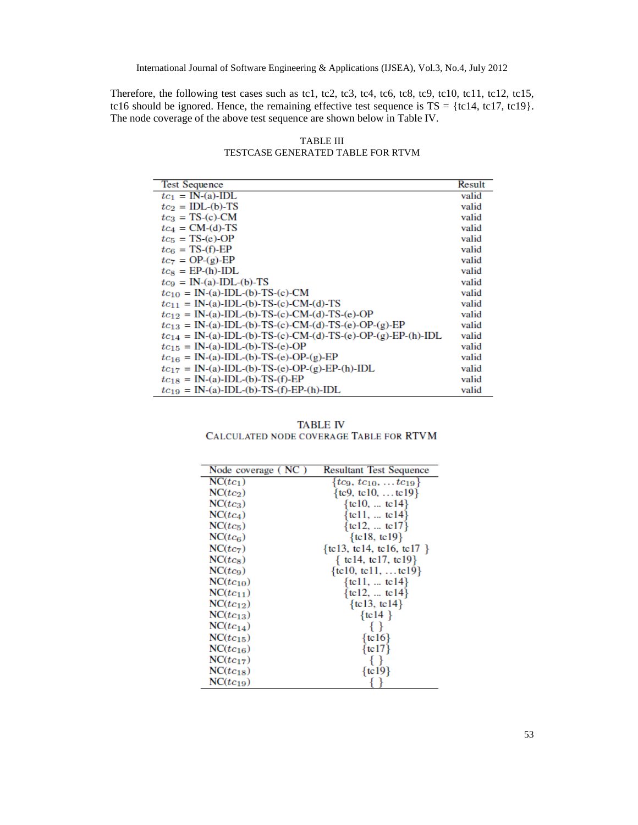Therefore, the following test cases such as tc1, tc2, tc3, tc4, tc6, tc8, tc9, tc10, tc11, tc12, tc15, tc16 should be ignored. Hence, the remaining effective test sequence is  $TS = \{t c 14, t c 17, t c 19\}$ . The node coverage of the above test sequence are shown below in Table IV.

TABLE III TESTCASE GENERATED TABLE FOR RTVM

| <b>Test Sequence</b>                                                  | Result |
|-----------------------------------------------------------------------|--------|
| $tc_1 = IN-(a)$ -IDL                                                  | valid  |
| $tc2 = IDL-(b)-TS$                                                    | valid  |
| $tc_3 = TS-(c)$ -CM                                                   | valid  |
| $tc4 = CM-(d)-TS$                                                     | valid  |
| $tc5 = TS-(e)-OP$                                                     | valid  |
| $tc_{\rm G} = TS$ -(f)-EP                                             | valid  |
| $tc_7 = OP-(g)$ -EP                                                   | valid  |
| $tc_s = EP-(h)$ -IDL                                                  | valid  |
| $tc_9 = IN-(a)$ -IDL-(b)-TS                                           | valid  |
| $tc_{10} = IN-(a)$ -IDL-(b)-TS-(c)-CM                                 | valid  |
| $tc_{11} = IN-(a) - IDL-(b) - TS-(c) - CM-(d) - TS$                   | valid  |
| $tc_{12} = IN-(a)$ -IDL-(b)-TS-(c)-CM-(d)-TS-(e)-OP                   | valid  |
| $tc_{13} = IN-(a) - IDL-(b) - TS-(c) - CM-(d) - TS-(e) - OP-(g) - EP$ | valid  |
| $tc_{14} = IN-(a)$ -IDL-(b)-TS-(c)-CM-(d)-TS-(e)-OP-(g)-EP-(h)-IDL    | valid  |
| $tc_{15} = IN-(a)-IDL-(b)-TS-(e)-OP$                                  | valid  |
| $tc_{16} = IN-(a) - IDL-(b) - TS-(e) - OP-(g) - EP$                   | valid  |
| $tc_{17} = IN-(a)$ -IDL-(b)-TS-(e)-OP-(g)-EP-(h)-IDL                  | valid  |
| $tc_{18} = IN-(a)-IDL-(b)-TS-(f)-EP$                                  | valid  |
| $tc_{19} = IN-(a) - IDL-(b) - TS-(f) - EP-(h) - IDL$                  | valid  |

**TABLE IV** CALCULATED NODE COVERAGE TABLE FOR RTVM

| Node coverage (NC) | <b>Resultant Test Sequence</b>      |
|--------------------|-------------------------------------|
| $NC(tc_1)$         | { $tc_9, tc_{10}, \ldots tc_{19}$ } |
| $NC(tc_2)$         | { $tc9, tc10,  tc19$ }              |
| $NC(tc_3)$         | { $tc10, $ tc14}                    |
| $NC(tc_4)$         | { $tcl1,  tcl4$ }                   |
| $NC(t_{c5})$       | {tc12,  tc17}                       |
| $NC(t_{c6})$       | $\{tcl8, tcl9\}$                    |
| $NC(tc_7)$         | $\{tcl3, tcl4, tcl6, tcl7\}$        |
| $NC(t_{c8})$       | { tc14, tc17, tc19}                 |
| $NC(tc_9)$         | $\{tcl0, tcl1, \ldots tcl9\}$       |
| $NC(tc_{10})$      | { $tcl1,  tcl4$ }                   |
| $NC(tc_{11})$      | {tc12,  tc14}                       |
| $NC(tc_{12})$      | $\{t c 13, t c 14\}$                |
| $NC(tc_{13})$      | $\{ \text{tc} 14 \}$                |
| $NC(tc_{14})$      | $\{ \}$                             |
| $NC(tc_{15})$      | $\{tcl6\}$                          |
| $NC(tc_{16})$      | $\{ \text{tc} 17 \}$                |
| $NC(tc_{17})$      | ∤∤                                  |
| $NC(tc_{18})$      | $\{t c 19\}$                        |
| $NC(tc_{19})$      |                                     |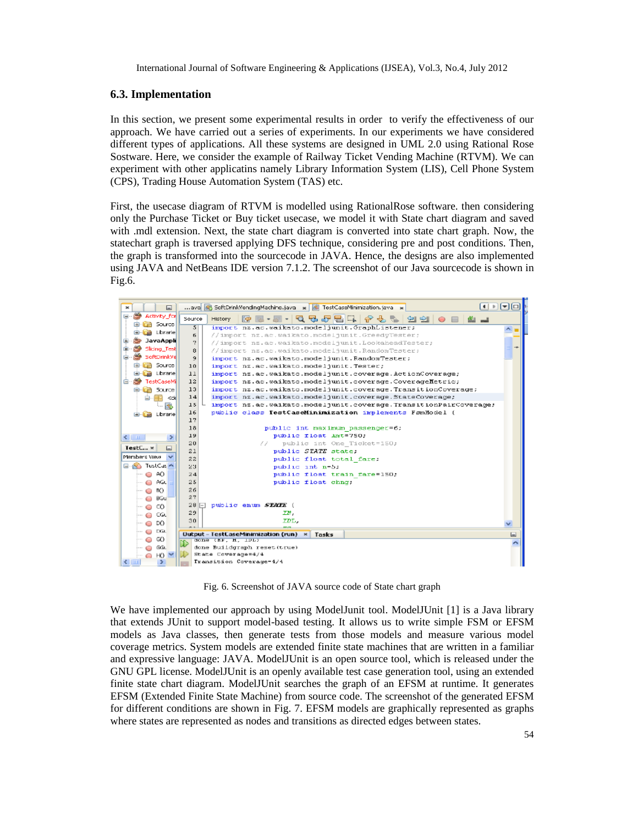### **6.3. Implementation**

In this section, we present some experimental results in order to verify the effectiveness of our approach. We have carried out a series of experiments. In our experiments we have considered different types of applications. All these systems are designed in UML 2.0 using Rational Rose Sostware. Here, we consider the example of Railway Ticket Vending Machine (RTVM). We can experiment with other applicatins namely Library Information System (LIS), Cell Phone System (CPS), Trading House Automation System (TAS) etc.

First, the usecase diagram of RTVM is modelled using RationalRose software. then considering only the Purchase Ticket or Buy ticket usecase, we model it with State chart diagram and saved with .mdl extension. Next, the state chart diagram is converted into state chart graph. Now, the statechart graph is traversed applying DFS technique, considering pre and post conditions. Then, the graph is transformed into the sourcecode in JAVA. Hence, the designs are also implemented using JAVA and NetBeans IDE version 7.1.2. The screenshot of our Java sourcecode is shown in Fig.6.



Fig. 6. Screenshot of JAVA source code of State chart graph

We have implemented our approach by using ModelJunit tool. ModelJUnit [1] is a Java library that extends JUnit to support model-based testing. It allows us to write simple FSM or EFSM models as Java classes, then generate tests from those models and measure various model coverage metrics. System models are extended finite state machines that are written in a familiar and expressive language: JAVA. ModelJUnit is an open source tool, which is released under the GNU GPL license. ModelJUnit is an openly available test case generation tool, using an extended finite state chart diagram. ModelJUnit searches the graph of an EFSM at runtime. It generates EFSM (Extended Finite State Machine) from source code. The screenshot of the generated EFSM for different conditions are shown in Fig. 7. EFSM models are graphically represented as graphs where states are represented as nodes and transitions as directed edges between states.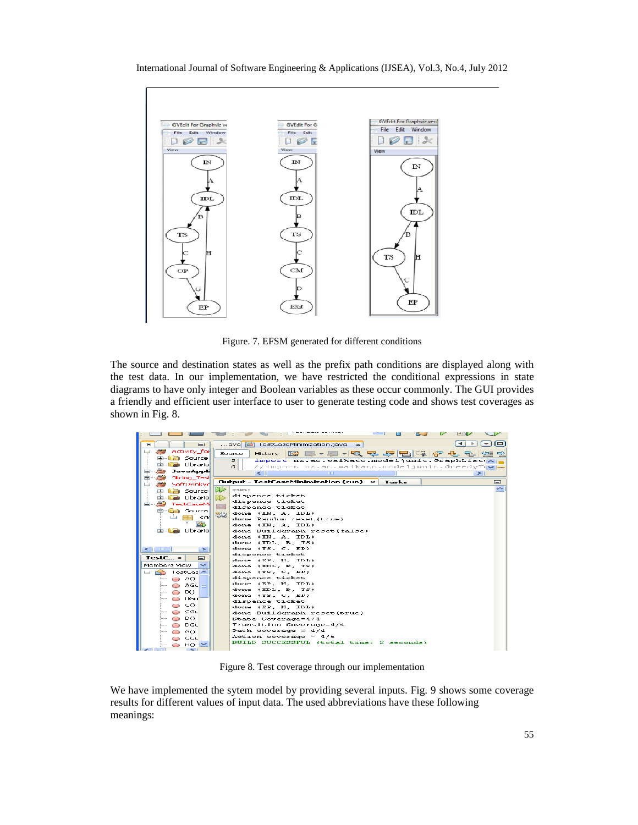



Figure. 7. EFSM generated for different conditions

The source and destination states as well as the prefix path conditions are displayed along with the test data. In our implementation, we have restricted the conditional expressions in state diagrams to have only integer and Boolean variables as these occur commonly. The GUI provides a friendly and efficient user interface to user to generate testing code and shows test coverages as shown in Fig. 8.

|                                            | تكا                                                               |
|--------------------------------------------|-------------------------------------------------------------------|
| $I = I$                                    | ioi<br>ava di TestCaseMinimization.java                           |
| ڪ<br>Activity_for                          | 13日 - 210日中旬1日10日の1日<br>Source<br>History                         |
| <b>B</b> Source                            | import nz.ac.waikato.modeljunit.GraphList(A)<br>5                 |
| Librariel                                  | G.<br>//import_nz.ac.maikato.modeljunit.GreedyTive=               |
| JavaAppli                                  | $\leq$<br>mm<br>$\geq$                                            |
| <b>Slicing Test</b>                        |                                                                   |
| SoftDrinkVd                                | Output - TestCaseMinimization (run)<br>Tasks<br>$\mathbf{x}$<br>⊟ |
| ⊯া<br><b>B</b> Source                      | artuan r                                                          |
| a Librarie                                 | dispence ticket                                                   |
| TestCaseMi                                 | dispence ticket                                                   |
| a Source                                   | dispense ticket                                                   |
| 52<br>سا<br>kodd.                          | done (IN, A, IDL)<br>dune Random reset.(true)                     |
|                                            | done (IN, A, IDL)                                                 |
| de la Librarie                             | done Buildgraph reset (false)                                     |
|                                            | done (IN, A, IDL)                                                 |
|                                            | done (TDL, B, TS)                                                 |
| $\leq$ 10 $\pm$ 100 $\pm$<br>$\rightarrow$ | done (TS, C, HP)                                                  |
| $TestC_{\cdots}$ =                         | dispence ticket                                                   |
| $\Box$                                     | done (RP, H, TDL)                                                 |
| Mombors View<br>$\overline{\phantom{a}}$   | done (IDL, B, TS)                                                 |
| TostCas A                                  | done (TS, U, EP)                                                  |
| ⊱ o ∧o                                     | dispence ticket                                                   |
| O AGU                                      | done (RP, H, TDL)                                                 |
| D()                                        | done (IDL, B, TS)<br>done (TS, U, EP)                             |
| <b>LIGHT</b>                               | dispence ticket                                                   |
| ေပ                                         | done (EP, H, IDL)                                                 |
| O CGL                                      | done Buildgraph reset (true)                                      |
| DO.<br>$\cdots$ $\qquad \qquad$            | State Coverage-4/4                                                |
| DGC                                        | Transition Coverage=4/4                                           |
| GO.                                        | Path coverage = $4/4$                                             |
| الممال                                     | Action coverage = 4/6                                             |
| HO.<br>$\sim$                              | DUILD SUCCESSEUL (total time: 2 seconds)                          |
|                                            |                                                                   |

Figure 8. Test coverage through our implementation

We have implemented the sytem model by providing several inputs. Fig. 9 shows some coverage results for different values of input data. The used abbreviations have these following meanings: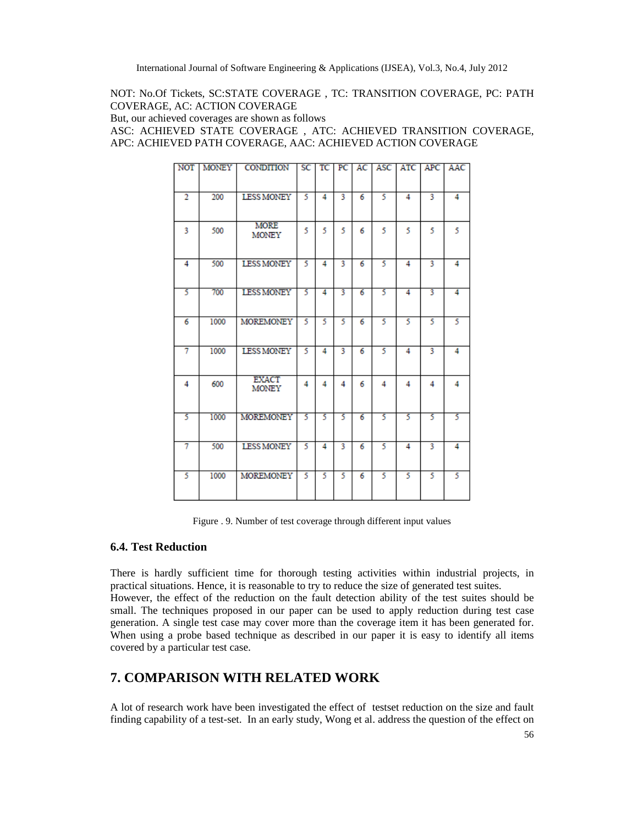NOT: No.Of Tickets, SC:STATE COVERAGE , TC: TRANSITION COVERAGE, PC: PATH COVERAGE, AC: ACTION COVERAGE

But, our achieved coverages are shown as follows

ASC: ACHIEVED STATE COVERAGE , ATC: ACHIEVED TRANSITION COVERAGE, APC: ACHIEVED PATH COVERAGE, AAC: ACHIEVED ACTION COVERAGE

| <b>NOT</b>     | <b>MONEY</b> | CONDITION                    | SC | тс | PC | AC | ASC | ATC | APC | AAC |
|----------------|--------------|------------------------------|----|----|----|----|-----|-----|-----|-----|
| $\overline{2}$ | 200          | <b>LESS MONEY</b>            | 5  | 4  | 3  | 6  | 5   | 4   | 3   | 4   |
| 3              | 500          | <b>MORE</b><br><b>MONEY</b>  | 5  | 5  | 5  | 6  | 5   | 5   | 5   | 5   |
| 4              | 500          | <b>LESS MONEY</b>            | 5  | 4  | 3  | 6  | 5   | 4   | 3   | 4   |
| 5              | 700          | <b>LESS MONEY</b>            | 5  | 4  | 3  | 6  | 5   | 4   | 3   | 4   |
| 6              | 1000         | <b>MOREMONEY</b>             | 5  | 5  | 5  | 6  | 5   | 5   | 5   | 5   |
| 7              | 1000         | <b>LESS MONEY</b>            | 5  | 4  | 3  | 6  | 5   | 4   | 3   | 4   |
| 4              | 600          | <b>EXACT</b><br><b>MONEY</b> | 4  | 4  | 4  | 6  | 4   | 4   | 4   | 4   |
| 5              | 1000         | <b>MOREMONEY</b>             | 5  | 5  | 5  | 6  | 5   | 5   | 5   | 5   |
| 7              | 500          | <b>LESS MONEY</b>            | 5  | 4  | 3  | 6  | 5   | 4   | 3   | 4   |
| 5              | 1000         | <b>MOREMONEY</b>             | 5  | 5  | 5  | 6  | 5   | 5   | 5   | 5   |

Figure . 9. Number of test coverage through different input values

#### **6.4. Test Reduction**

There is hardly sufficient time for thorough testing activities within industrial projects, in practical situations. Hence, it is reasonable to try to reduce the size of generated test suites. However, the effect of the reduction on the fault detection ability of the test suites should be small. The techniques proposed in our paper can be used to apply reduction during test case generation. A single test case may cover more than the coverage item it has been generated for. When using a probe based technique as described in our paper it is easy to identify all items covered by a particular test case.

# **7. COMPARISON WITH RELATED WORK**

A lot of research work have been investigated the effect of testset reduction on the size and fault finding capability of a test-set. In an early study, Wong et al. address the question of the effect on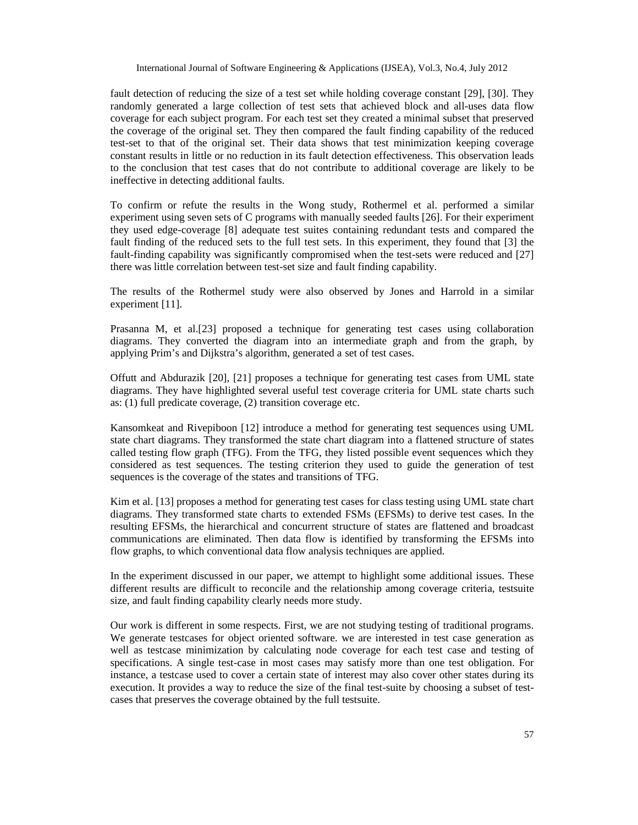fault detection of reducing the size of a test set while holding coverage constant [29], [30]. They randomly generated a large collection of test sets that achieved block and all-uses data flow coverage for each subject program. For each test set they created a minimal subset that preserved the coverage of the original set. They then compared the fault finding capability of the reduced test-set to that of the original set. Their data shows that test minimization keeping coverage constant results in little or no reduction in its fault detection effectiveness. This observation leads to the conclusion that test cases that do not contribute to additional coverage are likely to be ineffective in detecting additional faults.

To confirm or refute the results in the Wong study, Rothermel et al. performed a similar experiment using seven sets of C programs with manually seeded faults [26]. For their experiment they used edge-coverage [8] adequate test suites containing redundant tests and compared the fault finding of the reduced sets to the full test sets. In this experiment, they found that [3] the fault-finding capability was significantly compromised when the test-sets were reduced and [27] there was little correlation between test-set size and fault finding capability.

The results of the Rothermel study were also observed by Jones and Harrold in a similar experiment [11].

Prasanna M, et al.[23] proposed a technique for generating test cases using collaboration diagrams. They converted the diagram into an intermediate graph and from the graph, by applying Prim's and Dijkstra's algorithm, generated a set of test cases.

Offutt and Abdurazik [20], [21] proposes a technique for generating test cases from UML state diagrams. They have highlighted several useful test coverage criteria for UML state charts such as: (1) full predicate coverage, (2) transition coverage etc.

Kansomkeat and Rivepiboon [12] introduce a method for generating test sequences using UML state chart diagrams. They transformed the state chart diagram into a flattened structure of states called testing flow graph (TFG). From the TFG, they listed possible event sequences which they considered as test sequences. The testing criterion they used to guide the generation of test sequences is the coverage of the states and transitions of TFG.

Kim et al. [13] proposes a method for generating test cases for class testing using UML state chart diagrams. They transformed state charts to extended FSMs (EFSMs) to derive test cases. In the resulting EFSMs, the hierarchical and concurrent structure of states are flattened and broadcast communications are eliminated. Then data flow is identified by transforming the EFSMs into flow graphs, to which conventional data flow analysis techniques are applied.

In the experiment discussed in our paper, we attempt to highlight some additional issues. These different results are difficult to reconcile and the relationship among coverage criteria, testsuite size, and fault finding capability clearly needs more study.

Our work is different in some respects. First, we are not studying testing of traditional programs. We generate testcases for object oriented software. we are interested in test case generation as well as testcase minimization by calculating node coverage for each test case and testing of specifications. A single test-case in most cases may satisfy more than one test obligation. For instance, a testcase used to cover a certain state of interest may also cover other states during its execution. It provides a way to reduce the size of the final test-suite by choosing a subset of testcases that preserves the coverage obtained by the full testsuite.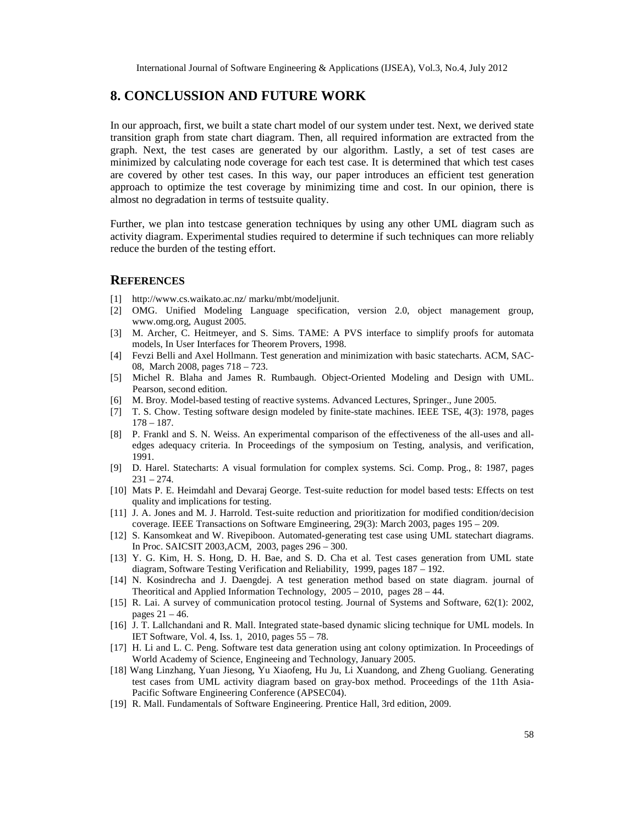# 8. CONCLUSSION AND FUTURE WORK

In our approach, first, we built a state chart model of system under test. Next, we derived state transition graphfrom state chart diagram. Then, all required information extracted from the graph. Next, the test cases are generated by algorithm. Lastly, a set of test cases are minimized bycalculating node coverage for each test case. It is determiniated hichtest cases are covered by other test cases. In this y, our paper introduces an efficient test generation approachto optimize the test coverage by minimizing time and cost. In our opinion, there is almost no degradation in terms of testsqitelity.

Further, we plan into testcase generation techniques sbyg any other UML diagram such as activity diagram.Experimental studies required to determine if such technicate snore reliably reduce the burden of the testing effort.

#### **REFERENCES**

- [1] [http://www.cs.waikato.ac.nz](http://www.cs.waikato.ac.nz/)/ marku/mbt/modeljunit.
- [2] OMG. Unified Modeling Language specification, version 2.0, object management group, <www.omg.org>, August 2005.
- [3] M. Archer, C. Heitmeyer, and S. Sims. TAME: A PVS interface to simplify proofs for automata modes, In User Interfaces for Theorem Provers, 1998.
- [4] Fevzi Belli and Axel Hollmann. Test generation and minimization with basic statecharts. ACM, SAC 08, March 2008, pages 718723.
- [5] Michel R. Blaha and James R. Rumbaugh. Obperidented Modeling and Design with UML. Pearson, second edition.
- [6] M. Broy. Modelbased testing of reactive systems. Advanced Lectures, Springer., June 2005.
- [7] T. S. Chow. Testing software design modeled by finitate machines. IEEE TSE, 4(3): 1978, pages 178† 187.
- [8] P. Frankl and S. N. Weiss. An experimental comparison of the effectiveness of-the submidial edges adequacy criteria. In Proceedings of the symposium on Testing, analysis, and verification, 1991.
- [9] D. Harel. Statecharts: A visual formulation for cdappsystems. Sci. Comp. Prog., 8: 1987, pages 231† 274.
- [10] Mats P. E. Heimdahl and Devaraj George. Test reduction for model based tests: Effects on test quality and implications for testing.
- [11] J. A. Jones and M. J. Harrold. Testite reductio and prioritization for modified condition/decision coverage. IEEE Transactions on Software Emgineering, 29(3): March 2003, page 20995
- [12] S. Kansomkeat and W. Rivepiboon. Automated rating test case using UML statechart diagrams. In Proc. SAICSIT 2003, ACM, 2003, pages 29800.
- [13] Y. G. Kim, H. S. Hong, D. H. Bae, and S. D. Cha et al. Test cases generation from UML state diagram, Software Testing Verification and Reliability, 1999, pages 1892.
- [14] N. Kosindrecha and J. Daengdej. A test generation method based on state diagram. journal of Theoritical and Applied Information Technology, 2002010, pages 2844.
- [15] R. Lai. A survey of communication protocol testing. Journal of Systems and Software, 62(1): 2002, pages 21† 46.
- [16] J. T. Lallchandani and R. Mall. Integrated statesed dynamic slicing technique for UML models. In IET Software, Vol. 4, Iss. 1, 2010, pages 558.
- [17] H. Li and L. C. Peng. Software test data generation using ant colony optimization. In Proceedings of World Academy of Science, Engineeing and Technology, January 2005.
- [18] Wang Linzhang, Yuan Jiesong, Yu Xiaofeng, Hu Ju, Li Xuandong, and Zheoliang G Generating test cases from UML activity diagram based on gray method. Proceedings of the 11th Asia Pacific Software Engineering Conference (APSEC04).
- [19] R. Mall. Fundamentals of Software Engineering. Prentice Hall, 3rd edition, 2009.